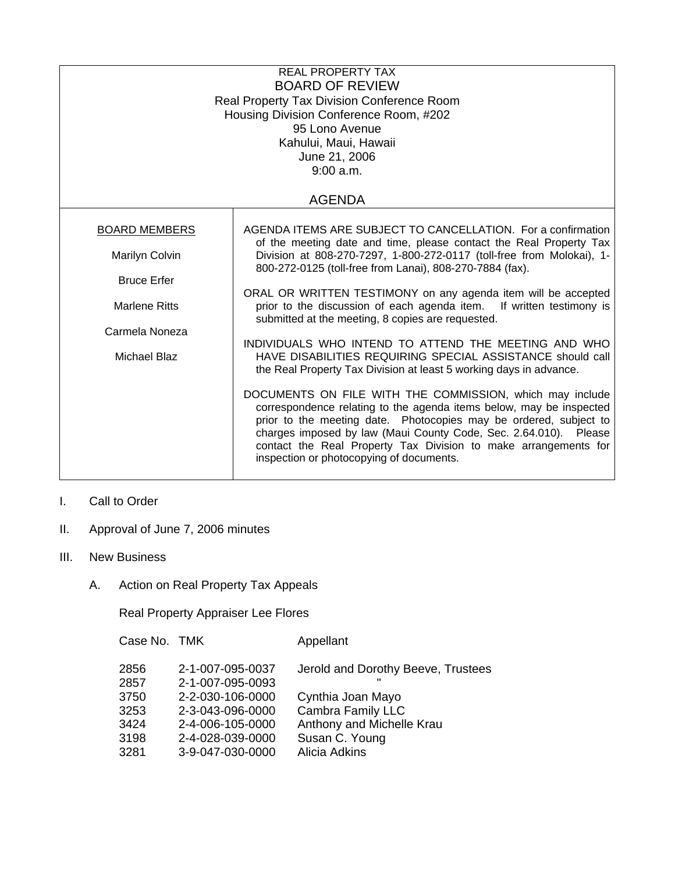| <b>REAL PROPERTY TAX</b><br><b>BOARD OF REVIEW</b><br><b>Real Property Tax Division Conference Room</b><br>Housing Division Conference Room, #202<br>95 Lono Avenue<br>Kahului, Maui, Hawaii<br>June 21, 2006<br>9:00 a.m. |                                                                                                                                                                                                                                                                                                                                                                                                                                                                                                                                                                                                                                          |  |
|----------------------------------------------------------------------------------------------------------------------------------------------------------------------------------------------------------------------------|------------------------------------------------------------------------------------------------------------------------------------------------------------------------------------------------------------------------------------------------------------------------------------------------------------------------------------------------------------------------------------------------------------------------------------------------------------------------------------------------------------------------------------------------------------------------------------------------------------------------------------------|--|
|                                                                                                                                                                                                                            | <b>AGENDA</b>                                                                                                                                                                                                                                                                                                                                                                                                                                                                                                                                                                                                                            |  |
| <b>BOARD MEMBERS</b><br>Marilyn Colvin<br><b>Bruce Erfer</b><br><b>Marlene Ritts</b>                                                                                                                                       | AGENDA ITEMS ARE SUBJECT TO CANCELLATION. For a confirmation<br>of the meeting date and time, please contact the Real Property Tax<br>Division at 808-270-7297, 1-800-272-0117 (toll-free from Molokai), 1-<br>800-272-0125 (toll-free from Lanai), 808-270-7884 (fax).<br>ORAL OR WRITTEN TESTIMONY on any agenda item will be accepted<br>prior to the discussion of each agenda item. If written testimony is                                                                                                                                                                                                                         |  |
| Carmela Noneza<br>Michael Blaz                                                                                                                                                                                             | submitted at the meeting, 8 copies are requested.<br>INDIVIDUALS WHO INTEND TO ATTEND THE MEETING AND WHO<br>HAVE DISABILITIES REQUIRING SPECIAL ASSISTANCE should call<br>the Real Property Tax Division at least 5 working days in advance.<br>DOCUMENTS ON FILE WITH THE COMMISSION, which may include<br>correspondence relating to the agenda items below, may be inspected<br>prior to the meeting date. Photocopies may be ordered, subject to<br>charges imposed by law (Maui County Code, Sec. 2.64.010). Please<br>contact the Real Property Tax Division to make arrangements for<br>inspection or photocopying of documents. |  |

## I. Call to Order

- II. Approval of June 7, 2006 minutes
- III. New Business
	- A. Action on Real Property Tax Appeals

Real Property Appraiser Lee Flores

| Case No. TMK<br>Appellant                                      |  |
|----------------------------------------------------------------|--|
| 2-1-007-095-0037<br>2856<br>Jerold and Dorothy Beeve, Trustees |  |
| 2-1-007-095-0093<br>2857                                       |  |
| 2-2-030-106-0000<br>Cynthia Joan Mayo<br>3750                  |  |
| Cambra Family LLC<br>3253<br>2-3-043-096-0000                  |  |
| Anthony and Michelle Krau<br>3424<br>2-4-006-105-0000          |  |
| Susan C. Young<br>3198<br>2-4-028-039-0000                     |  |
| Alicia Adkins<br>3281<br>3-9-047-030-0000                      |  |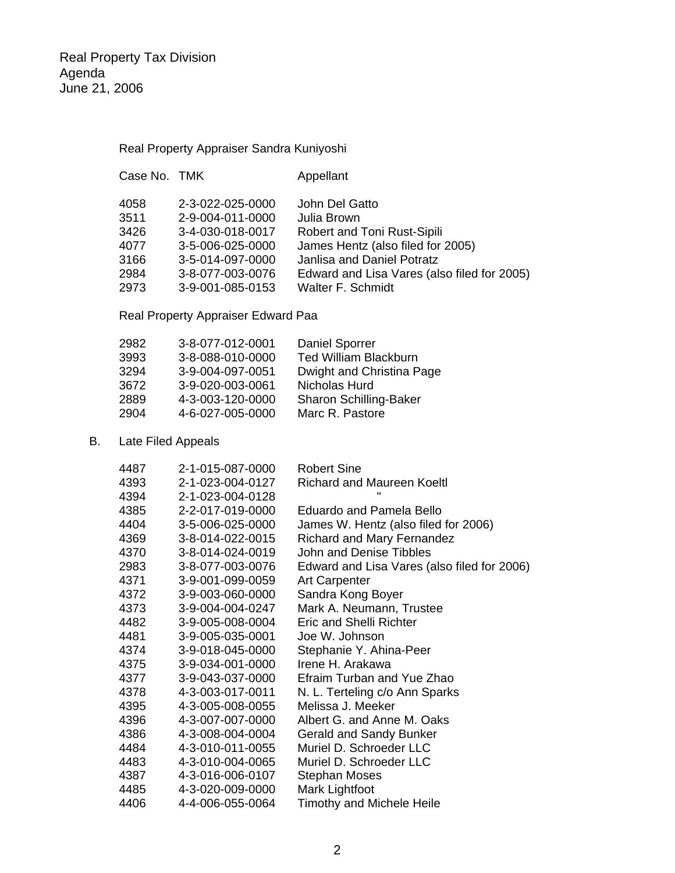Real Property Appraiser Sandra Kuniyoshi

| Case No. TMK |                  | Appellant                                   |
|--------------|------------------|---------------------------------------------|
| 4058         | 2-3-022-025-0000 | John Del Gatto                              |
| 3511         | 2-9-004-011-0000 | Julia Brown                                 |
| 3426         | 3-4-030-018-0017 | Robert and Toni Rust-Sipili                 |
| 4077         | 3-5-006-025-0000 | James Hentz (also filed for 2005)           |
| 3166         | 3-5-014-097-0000 | Janlisa and Daniel Potratz                  |
| 2984         | 3-8-077-003-0076 | Edward and Lisa Vares (also filed for 2005) |
| 2973         | 3-9-001-085-0153 | <b>Walter F. Schmidt</b>                    |
|              |                  |                                             |

Real Property Appraiser Edward Paa

| 2982 | 3-8-077-012-0001 | <b>Daniel Sporrer</b>        |
|------|------------------|------------------------------|
| 3993 | 3-8-088-010-0000 | <b>Ted William Blackburn</b> |
| 3294 | 3-9-004-097-0051 | Dwight and Christina Page    |
| 3672 | 3-9-020-003-0061 | Nicholas Hurd                |
| 2889 | 4-3-003-120-0000 | Sharon Schilling-Baker       |
| 2904 | 4-6-027-005-0000 | Marc R. Pastore              |

## B. Late Filed Appeals

| 4487 | 2-1-015-087-0000 | <b>Robert Sine</b>                          |
|------|------------------|---------------------------------------------|
| 4393 | 2-1-023-004-0127 | <b>Richard and Maureen Koeltl</b>           |
| 4394 | 2-1-023-004-0128 |                                             |
| 4385 | 2-2-017-019-0000 | Eduardo and Pamela Bello                    |
| 4404 | 3-5-006-025-0000 | James W. Hentz (also filed for 2006)        |
| 4369 | 3-8-014-022-0015 | <b>Richard and Mary Fernandez</b>           |
| 4370 | 3-8-014-024-0019 | John and Denise Tibbles                     |
| 2983 | 3-8-077-003-0076 | Edward and Lisa Vares (also filed for 2006) |
| 4371 | 3-9-001-099-0059 | <b>Art Carpenter</b>                        |
| 4372 | 3-9-003-060-0000 | Sandra Kong Boyer                           |
| 4373 | 3-9-004-004-0247 | Mark A. Neumann, Trustee                    |
| 4482 | 3-9-005-008-0004 | <b>Eric and Shelli Richter</b>              |
| 4481 | 3-9-005-035-0001 | Joe W. Johnson                              |
| 4374 | 3-9-018-045-0000 | Stephanie Y. Ahina-Peer                     |
| 4375 | 3-9-034-001-0000 | Irene H. Arakawa                            |
| 4377 | 3-9-043-037-0000 | Efraim Turban and Yue Zhao                  |
| 4378 | 4-3-003-017-0011 | N. L. Terteling c/o Ann Sparks              |
| 4395 | 4-3-005-008-0055 | Melissa J. Meeker                           |
| 4396 | 4-3-007-007-0000 | Albert G. and Anne M. Oaks                  |
| 4386 | 4-3-008-004-0004 | <b>Gerald and Sandy Bunker</b>              |
| 4484 | 4-3-010-011-0055 | Muriel D. Schroeder LLC                     |
| 4483 | 4-3-010-004-0065 | Muriel D. Schroeder LLC                     |
| 4387 | 4-3-016-006-0107 | <b>Stephan Moses</b>                        |
| 4485 | 4-3-020-009-0000 | Mark Lightfoot                              |
| 4406 | 4-4-006-055-0064 | <b>Timothy and Michele Heile</b>            |